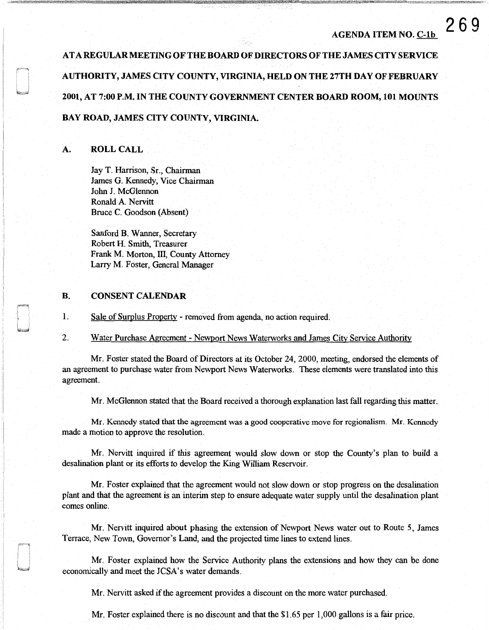# AGENDA ITEM NO. C-lb

269

AT A REGULAR MEETING OF THE BOARD OF DIRECTORS OF THE JAMES CITY SERVICE AUTHORITY, JAMES CITY COUNTY, VIRGINIA, HELD ON THE 27TH DAY OF FEBRUARY 2001, AT 7:00 P.M. IN THE COUNTY GOVERNMENT CENTER BOARD ROOM, 101 MOUNTS BAY ROAD, JAMES CITY COUNTY, VIRGINIA.

# A. ROLL CALL

Jay T. Harrison, Sr., Chairman James G. Kennedy, Vice Chairman John J. McGlennon Ronald A. Nervitt Bruce C. Goodson (Absent)

Sanford B. Wanner, Secretary Robert H. Smith, Treasurer Frank M. Morton, III, County Attorney Larry M. Foster, General Manager

### B. CONSENT CALENDAR

1. Sale of Surplus Property - removed from agenda, no action required.

2. Water Purchase Agreement - Newport News Waterworks and James City Service Authority

Mr. Foster stated the Board of Directors at its October 24, 2000, meeting, endorsed the elements of an agreement to purchase water from Newport News Waterworks. These elements were translated into this agreement.

Mr. McGlennon stated that the Board received a thorough explanation last fall regarding this matter.

Mr. Kennedy stated that the agreement was a good cooperative move for regionalism. Mr. Kennedy made a motion to approve the resolution.

Mr. Nervitt inquired if this agreement would slow down or stop the County's plan to build a desalination plant or its efforts to develop the King William Reservoir.

Mr. Foster explained that the agreement would not slow down or stop progress on the desalination plant and that the agreement is an interim step to ensure adequate water supply until the desalination plant comes online.

Mr. Nervitt inquired about phasing the extension of Newport News water out to Route 5, James Terrace, New Town, Governor's Land, and the projected time lines to extend lines.

Mr. Foster explained how the Service Authority plans the extensions and how they can be done economically and meet the JCSA's water demands.

Mr. Nervitt asked if the agreement provides a discount on the more water purchased.

Mr. Foster explained there is no discount and that the \$1.65 per 1,000 gallons is a fair price.